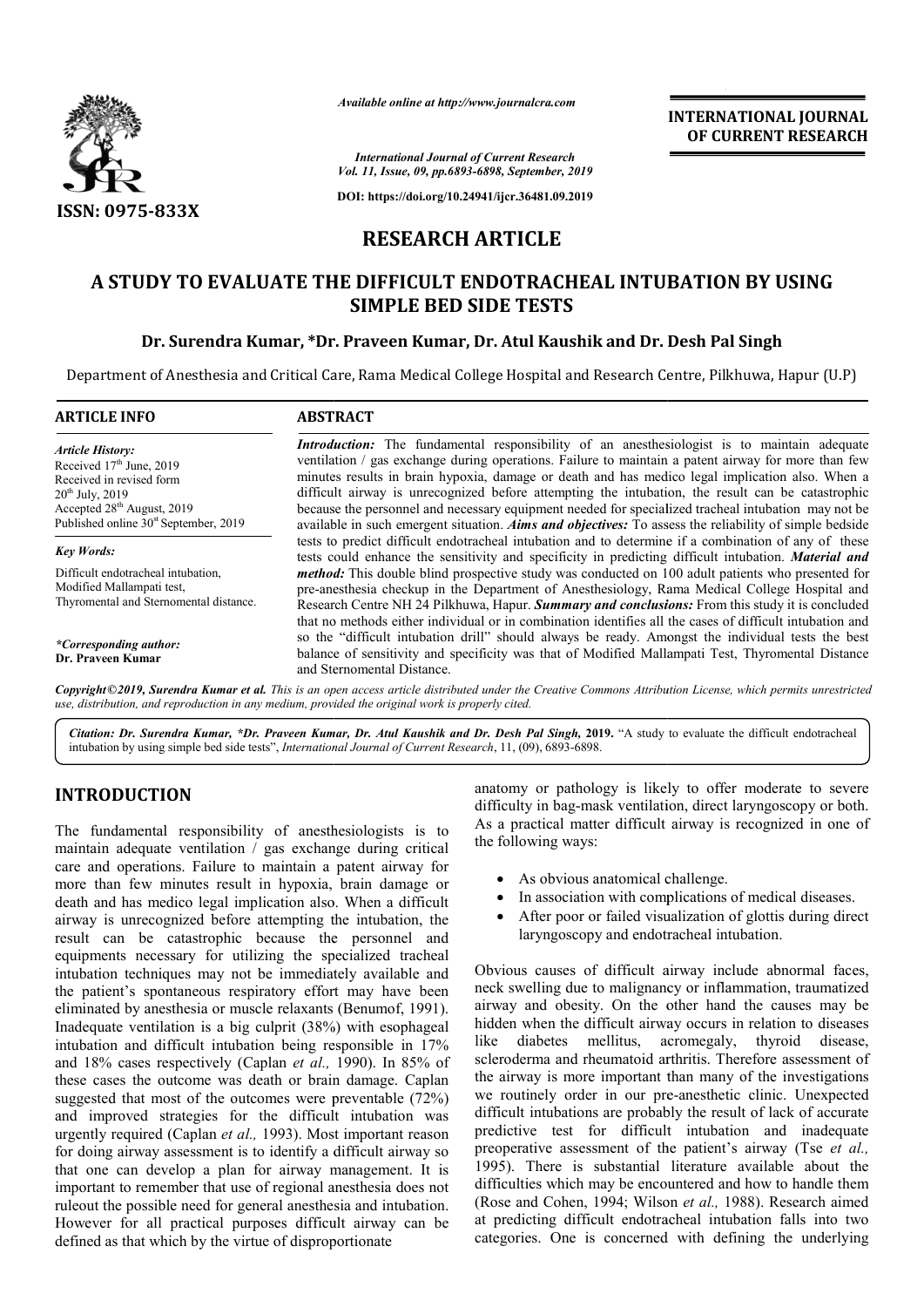

*Available online at http://www.journalcra.com*

**INTERNATIONAL JOURNAL OF CURRENT RESEARCH**

*International Journal of Current Research Vol. 11, Issue, 09, pp.6893-6898, September, 2019*

**DOI: https://doi.org/10.24941/ijcr.36481.09.2019**

# **RESEARCH ARTICLE**

# **A STUDY TO EVALUATE THE DIFFICULT ENDOTRACHEAL INTUBATION BY USING STUDY ENDOTRACHEAL USING SIMPLE BED SIDE TESTS**

# **Dr. Surendra Kumar, \*Dr. Praveen Kumar, Dr. Atul Kaushik and Dr. Desh Pal Singh**

Department of Anesthesia and Critical Care, Rama Medical College Hospital and Research Centre, Pilkhuwa, Hapur (U.P)

| <b>ARTICLE INFO</b>                                                                                                                                                                                        | <b>ABSTRACT</b>                                                                                                                                                                                                                                                                                                                                                                                                                                                                                                                                                                                                                            |
|------------------------------------------------------------------------------------------------------------------------------------------------------------------------------------------------------------|--------------------------------------------------------------------------------------------------------------------------------------------------------------------------------------------------------------------------------------------------------------------------------------------------------------------------------------------------------------------------------------------------------------------------------------------------------------------------------------------------------------------------------------------------------------------------------------------------------------------------------------------|
| <b>Article History:</b><br>Received $17th$ June, 2019<br>Received in revised form<br>$20^{th}$ July, $2019$<br>Accepted 28 <sup>th</sup> August, 2019<br>Published online 30 <sup>st</sup> September, 2019 | <b>Introduction:</b> The fundamental responsibility of an anesthesiologist is to maintain adequate<br>ventilation / gas exchange during operations. Failure to maintain a patent airway for more than few<br>minutes results in brain hypoxia, damage or death and has medico legal implication also. When a<br>difficult airway is unrecognized before attempting the intubation, the result can be catastrophic<br>because the personnel and necessary equipment needed for specialized tracheal intubation may not be<br>available in such emergent situation. <i>Aims and objectives</i> : To assess the reliability of simple bedside |
| <b>Key Words:</b>                                                                                                                                                                                          | tests to predict difficult endotracheal intubation and to determine if a combination of any of these<br>tests could enhance the sensitivity and specificity in predicting difficult intubation. Material and                                                                                                                                                                                                                                                                                                                                                                                                                               |
| Difficult endotracheal intubation.<br>Modified Mallampati test,<br>Thyromental and Sternomental distance.                                                                                                  | <i>method</i> : This double blind prospective study was conducted on 100 adult patients who presented for<br>pre-anesthesia checkup in the Department of Anesthesiology, Rama Medical College Hospital and<br>Research Centre NH 24 Pilkhuwa, Hapur. Summary and conclusions: From this study it is concluded                                                                                                                                                                                                                                                                                                                              |
| *Corresponding author:<br>Dr. Praveen Kumar                                                                                                                                                                | that no methods either individual or in combination identifies all the cases of difficult intubation and<br>so the "difficult intubation drill" should always be ready. Amongst the individual tests the best<br>balance of sensitivity and specificity was that of Modified Mallampati Test, Thyromental Distance<br>and Sternomental Distance.                                                                                                                                                                                                                                                                                           |

Copyright©2019, Surendra Kumar et al. This is an open access article distributed under the Creative Commons Attribution License, which permits unrestrictea *use, distribution, and reproduction in any medium, provided the original work is properly cited.*

Citation: Dr. Surendra Kumar, \*Dr. Praveen Kumar, Dr. Atul Kaushik and Dr. Desh Pal Singh, 2019. "A study to evaluate the difficult endotracheal intubation by using simple bed side tests", *International Journal of Current Research* , 11, (09), 6893-6898.

# **INTRODUCTION**

The fundamental responsibility of anesthesiologists is to maintain adequate ventilation / gas exchange during critical care and operations. Failure to maintain a patent airway for more than few minutes result in hypoxia, brain damage or death and has medico legal implication also. When a difficult airway is unrecognized before attempting the intubation, the result can be catastrophic because the personnel and equipments necessary for utilizing the specialized tracheal intubation techniques may not be immediately available and the patient's spontaneous respiratory effort may have been eliminated by anesthesia or muscle relaxants (Benumof, 1991). Inadequate ventilation is a big culprit (38%) with esophageal intubation and difficult intubation being responsible in 17% and 18% cases respectively (Caplan *et al.,*  1990). In 85% of these cases the outcome was death or brain damage. Caplan suggested that most of the outcomes were preventable (72%) and improved strategies for the difficult intubation was urgently required (Caplan *et al.,* 1993). Most important reason for doing airway assessment is to identify a difficult airway so that one can develop a plan for airway management. It is important to remember that use of regional anesthesia does not ruleout the possible need for general anesthesia and intubation. However for all practical purposes difficult airway can be defined as that which by the virtue of disproportionate ately available and<br>prt may have been<br>is (Benumof, 1991). **ION**<br> **EXECUTE A** analony or pathology is likely to offer moderate to severe that users of the contribution of passes and the severe and the control of the contribution of an exchange during critical the following ways:<br>

difficulty in bag-mask ventilation, direct laryngoscopy or both. As a practical matter difficult airway is recognized in one of the following ways: is increased to severe<br>the induced g-mask ventilation, direct laryngoscopy or both.<br>matter difficult airway is recognized in one of<br>vays:<br>ous anatomical challenge.<br>iation with complications of medical diseases.<br>oor or fail

- As obvious anatomical challenge.
- In association with complications of medical diseases.
- After poor or failed visualization of glottis during direct laryngoscopy and endotracheal intubation.

Obvious causes of difficult airway include abnormal faces, neck swelling due to malignancy or inflammation, traumatized airway and obesity. On the other hand the causes may be hidden when the difficult airway occurs in relation to diseases like diabetes mellitus, acromegaly, thyroid disease, scleroderma and rheumatoid arthritis. Therefore assessment of the airway is more important than many of the investigations we routinely order in our pre-anesthetic clinic. Unexpected difficult intubations are probably the result of lack of accurate predictive test for difficult intubation and inadequate predictive test for difficult intubation and inadequate preoperative assessment of the patient's airway (Tse *et al.*, 1995). There is substantial literature available about the difficulties which may be encountered and how to handle them difficulties which may be encountered and how to handle them (Rose and Cohen, 1994; Wilson *et al.*, 1988). Research aimed at predicting difficult endotracheal intubation falls into two categories. One is concerned with defining the underlying due to malignancy or inflammation, traumatized<br>besity. On the other hand the causes may be<br>he difficult airway occurs in relation to diseases<br>s mellitus, acromegaly, thyroid disease,<br>nd rheumatoid arthritis. Therefore asse **INTERNATIONAL JOURNAL FORMATION CONSUMERATION CONSUMERATION CONSUMERATION CONSUMERATION BY USING CONSUMERATION BY USING A**  $\frac{1}{2}$  **(** $\frac{1}{2}$  $\frac{1}{2}$  $\frac{1}{2}$  $\frac{1}{2}$  $\frac{1}{2}$  $\frac{1}{2}$  $\frac{1}{2}$  $\frac{1}{2}$  **\frac{1}{2**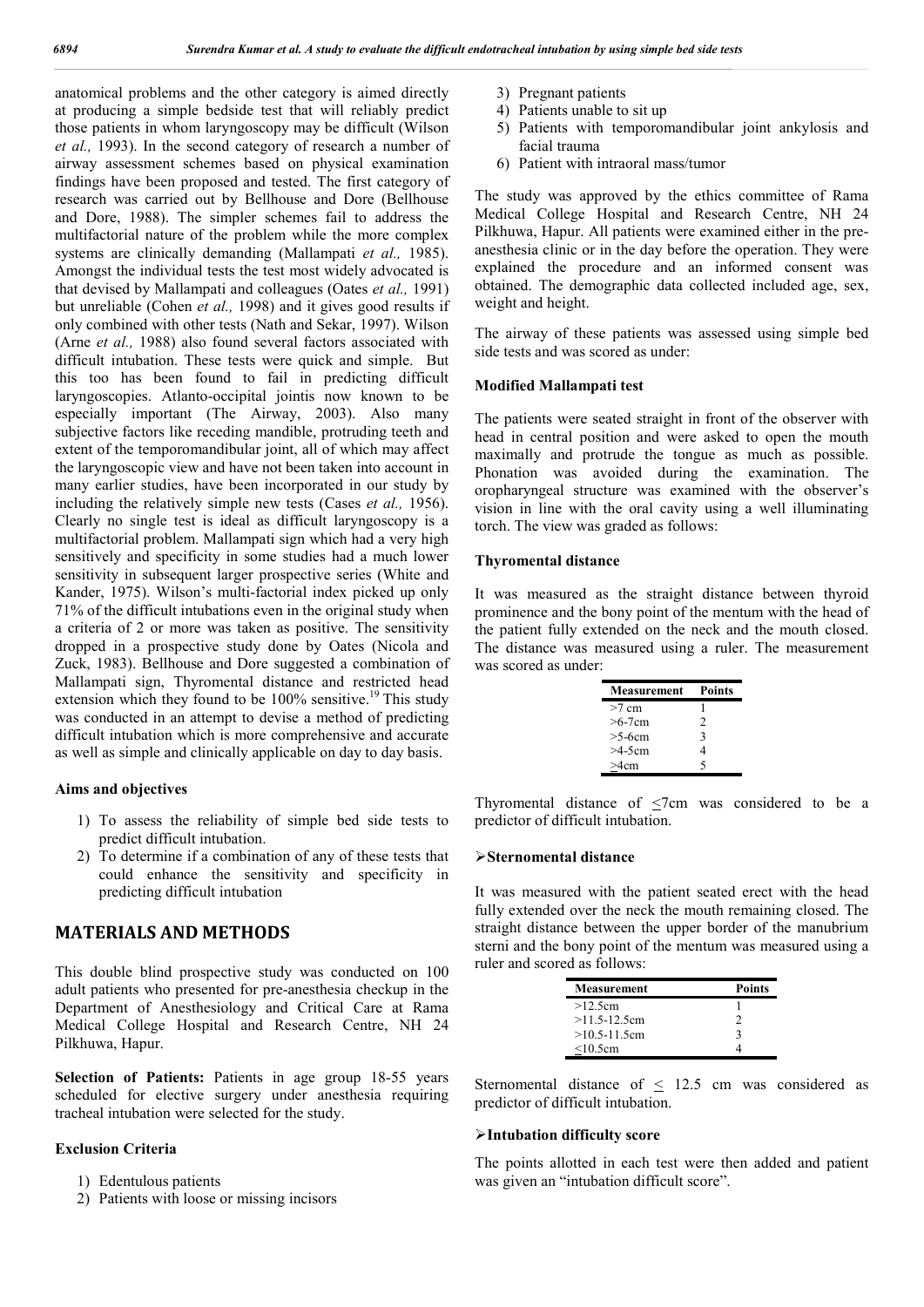anatomical problems and the other category is aimed directly at producing a simple bedside test that will reliably predict those patients in whom laryngoscopy may be difficult (Wilson *et al.,* 1993). In the second category of research a number of airway assessment schemes based on physical examination findings have been proposed and tested. The first category of research was carried out by Bellhouse and Dore (Bellhouse and Dore, 1988). The simpler schemes fail to address the multifactorial nature of the problem while the more complex systems are clinically demanding (Mallampati *et al.,* 1985). Amongst the individual tests the test most widely advocated is that devised by Mallampati and colleagues (Oates *et al.,* 1991) but unreliable (Cohen *et al.,* 1998) and it gives good results if only combined with other tests (Nath and Sekar, 1997). Wilson (Arne *et al.,* 1988) also found several factors associated with difficult intubation. These tests were quick and simple. But this too has been found to fail in predicting difficult laryngoscopies. Atlanto-occipital jointis now known to be especially important (The Airway, 2003). Also many subjective factors like receding mandible, protruding teeth and extent of the temporomandibular joint, all of which may affect the laryngoscopic view and have not been taken into account in many earlier studies, have been incorporated in our study by including the relatively simple new tests (Cases *et al.,* 1956). Clearly no single test is ideal as difficult laryngoscopy is a multifactorial problem. Mallampati sign which had a very high sensitively and specificity in some studies had a much lower sensitivity in subsequent larger prospective series (White and Kander, 1975). Wilson's multi-factorial index picked up only 71% of the difficult intubations even in the original study when a criteria of 2 or more was taken as positive. The sensitivity dropped in a prospective study done by Oates (Nicola and Zuck, 1983). Bellhouse and Dore suggested a combination of Mallampati sign, Thyromental distance and restricted head extension which they found to be  $100\%$  sensitive.<sup>19</sup> This study was conducted in an attempt to devise a method of predicting difficult intubation which is more comprehensive and accurate as well as simple and clinically applicable on day to day basis.

### **Aims and objectives**

- 1) To assess the reliability of simple bed side tests to predict difficult intubation.
- 2) To determine if a combination of any of these tests that could enhance the sensitivity and specificity in predicting difficult intubation

# **MATERIALS AND METHODS**

This double blind prospective study was conducted on 100 adult patients who presented for pre-anesthesia checkup in the Department of Anesthesiology and Critical Care at Rama Medical College Hospital and Research Centre, NH 24 Pilkhuwa, Hapur.

**Selection of Patients:** Patients in age group 18-55 years scheduled for elective surgery under anesthesia requiring tracheal intubation were selected for the study.

### **Exclusion Criteria**

- 1) Edentulous patients
- 2) Patients with loose or missing incisors
- 3) Pregnant patients
- 4) Patients unable to sit up
- 5) Patients with temporomandibular joint ankylosis and facial trauma
- 6) Patient with intraoral mass/tumor

The study was approved by the ethics committee of Rama Medical College Hospital and Research Centre, NH 24 Pilkhuwa, Hapur. All patients were examined either in the preanesthesia clinic or in the day before the operation. They were explained the procedure and an informed consent was obtained. The demographic data collected included age, sex, weight and height.

The airway of these patients was assessed using simple bed side tests and was scored as under:

### **Modified Mallampati test**

The patients were seated straight in front of the observer with head in central position and were asked to open the mouth maximally and protrude the tongue as much as possible. Phonation was avoided during the examination. The oropharyngeal structure was examined with the observer's vision in line with the oral cavity using a well illuminating torch. The view was graded as follows:

#### **Thyromental distance**

It was measured as the straight distance between thyroid prominence and the bony point of the mentum with the head of the patient fully extended on the neck and the mouth closed. The distance was measured using a ruler. The measurement was scored as under:

| <b>Measurement</b> | <b>Points</b>  |
|--------------------|----------------|
| $>7$ cm            |                |
| $>6-7$ cm          | $\mathfrak{D}$ |
| $>5-6cm$           | 3              |
| $>4-5cm$           | 4              |
| >4cm               | 5              |

Thyromental distance of  $\leq$ 7cm was considered to be a predictor of difficult intubation.

#### **Sternomental distance**

It was measured with the patient seated erect with the head fully extended over the neck the mouth remaining closed. The straight distance between the upper border of the manubrium sterni and the bony point of the mentum was measured using a ruler and scored as follows:

| <b>Measurement</b> | <b>Points</b> |
|--------------------|---------------|
| >12.5cm            |               |
| $>11.5 - 12.5$ cm  |               |
| $>10.5 - 11.5$ cm  | ι             |
| $<$ 10.5cm         |               |

Sternomental distance of < 12.5 cm was considered as predictor of difficult intubation.

## **Intubation difficulty score**

The points allotted in each test were then added and patient was given an "intubation difficult score".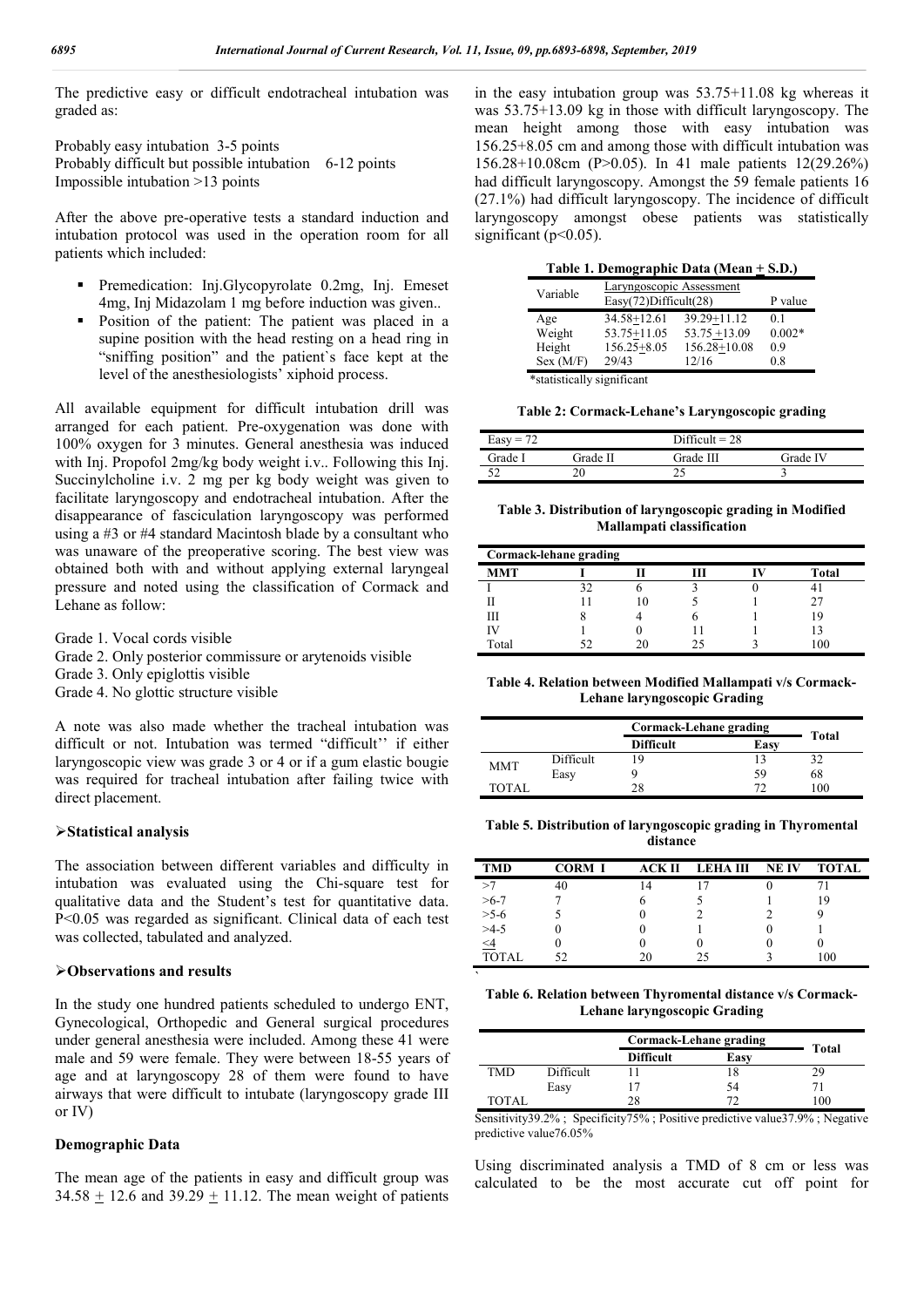The predictive easy or difficult endotracheal intubation was graded as:

Probably easy intubation 3-5 points Probably difficult but possible intubation 6-12 points Impossible intubation >13 points

After the above pre-operative tests a standard induction and intubation protocol was used in the operation room for all patients which included:

- Premedication: Inj.Glycopyrolate 0.2mg, Inj. Emeset 4mg, Inj Midazolam 1 mg before induction was given..
- Position of the patient: The patient was placed in a supine position with the head resting on a head ring in "sniffing position" and the patient`s face kept at the level of the anesthesiologists' xiphoid process.

All available equipment for difficult intubation drill was arranged for each patient. Pre-oxygenation was done with 100% oxygen for 3 minutes. General anesthesia was induced with Inj. Propofol 2mg/kg body weight i.v.. Following this Inj. Succinylcholine i.v. 2 mg per kg body weight was given to facilitate laryngoscopy and endotracheal intubation. After the disappearance of fasciculation laryngoscopy was performed using a #3 or #4 standard Macintosh blade by a consultant who was unaware of the preoperative scoring. The best view was obtained both with and without applying external laryngeal pressure and noted using the classification of Cormack and Lehane as follow:

- Grade 1. Vocal cords visible
- Grade 2. Only posterior commissure or arytenoids visible
- Grade 3. Only epiglottis visible
- Grade 4. No glottic structure visible

A note was also made whether the tracheal intubation was difficult or not. Intubation was termed "difficult'' if either laryngoscopic view was grade 3 or 4 or if a gum elastic bougie was required for tracheal intubation after failing twice with direct placement.

## **Statistical analysis**

The association between different variables and difficulty in intubation was evaluated using the Chi-square test for qualitative data and the Student's test for quantitative data. P<0.05 was regarded as significant. Clinical data of each test was collected, tabulated and analyzed.

### **Observations and results**

In the study one hundred patients scheduled to undergo ENT, Gynecological, Orthopedic and General surgical procedures under general anesthesia were included. Among these 41 were male and 59 were female. They were between 18-55 years of age and at laryngoscopy 28 of them were found to have airways that were difficult to intubate (laryngoscopy grade III or IV)

## **Demographic Data**

The mean age of the patients in easy and difficult group was 34.58  $\pm$  12.6 and 39.29  $\pm$  11.12. The mean weight of patients in the easy intubation group was 53.75+11.08 kg whereas it was 53.75+13.09 kg in those with difficult laryngoscopy. The mean height among those with easy intubation was 156.25+8.05 cm and among those with difficult intubation was 156.28+10.08cm (P>0.05). In 41 male patients 12(29.26%) had difficult laryngoscopy. Amongst the 59 female patients 16 (27.1%) had difficult laryngoscopy. The incidence of difficult laryngoscopy amongst obese patients was statistically significant  $(p<0.05)$ .

| Table 1. Demographic Data (Mean + S.D.) |  |
|-----------------------------------------|--|
|-----------------------------------------|--|

| Variable                   | Laryngoscopic Assessment<br>Easy(72)Difficult(28) | P value         |          |  |
|----------------------------|---------------------------------------------------|-----------------|----------|--|
| Age                        | 34.58+12.61                                       | $39.29 + 11.12$ | 01       |  |
| Weight                     | $53.75 + 11.05$                                   | $53.75 + 13.09$ | $0.002*$ |  |
| Height                     | $156.25 + 8.05$                                   | 156.28+10.08    | 0.9      |  |
| Sex (M/F)                  | 29/43                                             | 12/16           | 0.8      |  |
| *statistically significant |                                                   |                 |          |  |

\*statistically significant

**Table 2: Cormack-Lehane's Laryngoscopic grading**

| Difficult = $28$<br>$Easy = 72$ |          |           |          |
|---------------------------------|----------|-----------|----------|
| Frade I                         | Grade II | Grade III | Grade IV |
|                                 |          |           |          |

**Table 3. Distribution of laryngoscopic grading in Modified Mallampati classification**

| Cormack-lehane grading |    |  |    |  |              |  |  |
|------------------------|----|--|----|--|--------------|--|--|
| <b>MMT</b>             |    |  |    |  | <b>Total</b> |  |  |
|                        | 20 |  |    |  |              |  |  |
|                        |    |  |    |  |              |  |  |
|                        |    |  |    |  | ١q           |  |  |
|                        |    |  |    |  |              |  |  |
| Total                  |    |  | 25 |  |              |  |  |

**Table 4. Relation between Modified Mallampati v/s Cormack-Lehane laryngoscopic Grading**

|            |           | Cormack-Lehane grading | Total |     |
|------------|-----------|------------------------|-------|-----|
|            |           | <b>Difficult</b>       | Easy  |     |
| <b>MMT</b> | Difficult | 19                     |       |     |
|            | Easy      |                        | 59    | 68  |
| TOTAL      |           | 28                     | 72    | 100 |

**Table 5. Distribution of laryngoscopic grading in Thyromental distance**

| <b>TMD</b>                 | <b>CORM I</b> | АСК П          | <b>LEHAIII</b> | <b>NEIV</b> | <b>TOTAL</b> |
|----------------------------|---------------|----------------|----------------|-------------|--------------|
| >7                         | 40            | $\overline{4}$ |                |             |              |
|                            |               |                |                |             | 19           |
| $>6-7$<br>$>5-6$<br>$>4-5$ |               |                |                |             |              |
|                            |               |                |                |             |              |
| $\leq 4$                   |               |                |                |             |              |
| TOTAL                      | 52            | 20             | 75             |             | 100          |

**Table 6. Relation between Thyromental distance v/s Cormack-Lehane laryngoscopic Grading**

`

|       |                  | Cormack-Lehane grading | Total |     |
|-------|------------------|------------------------|-------|-----|
|       | <b>Difficult</b> |                        | Easy  |     |
| TMD   | Difficult        |                        |       | ) Q |
|       | Easy             |                        | 54    |     |
| TOTAL |                  | 28                     |       | 100 |

Sensitivity39.2%; Specificity75%; Positive predictive value37.9%; Negative predictive value76.05%

Using discriminated analysis a TMD of 8 cm or less was calculated to be the most accurate cut off point for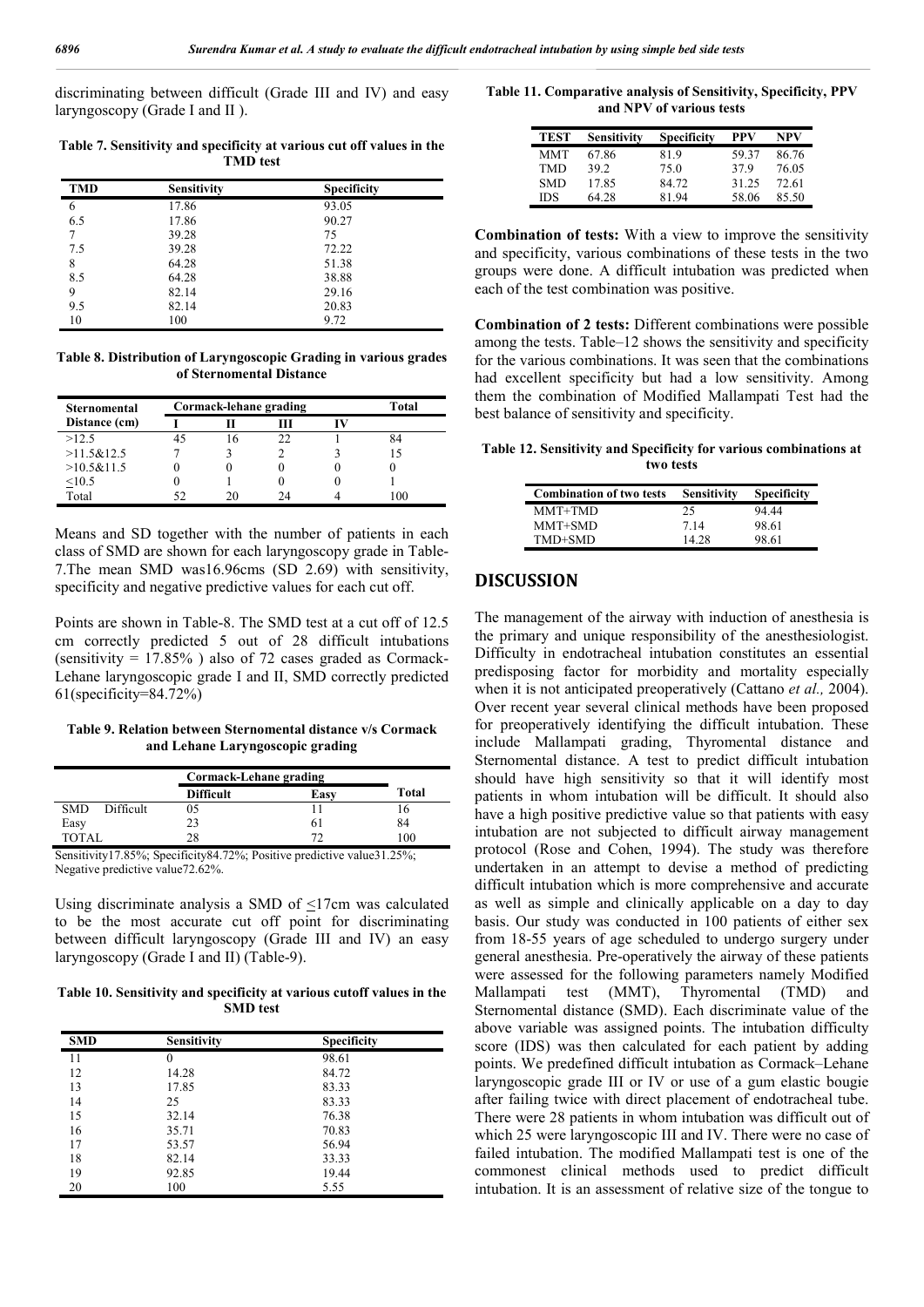discriminating between difficult (Grade III and IV) and easy laryngoscopy (Grade I and II ).

**Table 7. Sensitivity and specificity at various cut off values in the TMD test**

| <b>TMD</b> | Sensitivity | Specificity |
|------------|-------------|-------------|
| 6          | 17.86       | 93.05       |
| 6.5        | 17.86       | 90.27       |
| 7          | 39.28       | 75          |
| 7.5        | 39.28       | 72.22       |
| 8          | 64.28       | 51.38       |
| 8.5        | 64.28       | 38.88       |
| 9          | 82.14       | 29.16       |
| 9.5        | 82.14       | 20.83       |
| 10         | 100         | 9.72        |

**Table 8. Distribution of Laryngoscopic Grading in various grades of Sternomental Distance**

| Sternomental  | Cormack-lehane grading |            |    | Total |
|---------------|------------------------|------------|----|-------|
| Distance (cm) |                        |            |    |       |
| >12.5         |                        | $\sqrt{2}$ | 22 |       |
| >11.5&12.5    |                        |            |    | 15    |
| >10.5&11.5    |                        |            |    |       |
| < 10.5        |                        |            |    |       |
| Total         | 52                     |            | 24 | 100   |

Means and SD together with the number of patients in each class of SMD are shown for each laryngoscopy grade in Table-7.The mean SMD was16.96cms (SD 2.69) with sensitivity, specificity and negative predictive values for each cut off.

Points are shown in Table-8. The SMD test at a cut off of 12.5 cm correctly predicted 5 out of 28 difficult intubations (sensitivity  $= 17.85\%$ ) also of 72 cases graded as Cormack-Lehane laryngoscopic grade I and II, SMD correctly predicted 61(specificity=84.72%)

**Table 9. Relation between Sternomental distance v/s Cormack and Lehane Laryngoscopic grading**

|                         | Cormack-Lehane grading |                     |                                    |
|-------------------------|------------------------|---------------------|------------------------------------|
|                         | <b>Difficult</b>       | Easy                | Total                              |
| <b>SMD</b><br>Difficult | 05                     |                     |                                    |
| Easy                    | 23                     | 0 I                 | 84                                 |
| TOTAL                   | 28                     |                     | 100                                |
| $\sim$                  |                        | $\cdots$<br>$\cdot$ | $\sim$ $\sim$ $\sim$ $\sim$ $\sim$ |

Sensitivity17.85%; Specificity84.72%; Positive predictive value31.25%; Negative predictive value72.62%.

Using discriminate analysis a SMD of  $\leq$ 17cm was calculated to be the most accurate cut off point for discriminating between difficult laryngoscopy (Grade III and IV) an easy laryngoscopy (Grade I and II) (Table-9).

**Table 10. Sensitivity and specificity at various cutoff values in the SMD test**

| <b>SMD</b> | <b>Sensitivity</b> | <b>Specificity</b> |  |
|------------|--------------------|--------------------|--|
| 11         | 0                  | 98.61              |  |
| 12         | 14.28              | 84.72              |  |
| 13         | 17.85              | 83.33              |  |
| 14         | 25                 | 83.33              |  |
| 15         | 32.14              | 76.38              |  |
| 16         | 35.71              | 70.83              |  |
| 17         | 53.57              | 56.94              |  |
| 18         | 82.14              | 33.33              |  |
| 19         | 92.85              | 19.44              |  |
| 20         | 100                | 5.55               |  |

**Table 11. Comparative analysis of Sensitivity, Specificity, PPV and NPV of various tests**

| <b>TEST</b> | Sensitivity | Specificity | PPV   | NPV   |
|-------------|-------------|-------------|-------|-------|
| MMT         | 67.86       | 81.9        | 59.37 | 86.76 |
| TMD         | 392         | 75.0        | 379   | 76.05 |
| <b>SMD</b>  | 17.85       | 84.72       | 31.25 | 72.61 |
| IDS         | 64.28       | 81.94       | 58.06 | 85.50 |

**Combination of tests:** With a view to improve the sensitivity and specificity, various combinations of these tests in the two groups were done. A difficult intubation was predicted when each of the test combination was positive.

**Combination of 2 tests:** Different combinations were possible among the tests. Table–12 shows the sensitivity and specificity for the various combinations. It was seen that the combinations had excellent specificity but had a low sensitivity. Among them the combination of Modified Mallampati Test had the best balance of sensitivity and specificity.

**Table 12. Sensitivity and Specificity for various combinations at two tests**

| <b>Combination of two tests</b> | <b>Sensitivity</b> | <b>Specificity</b> |
|---------------------------------|--------------------|--------------------|
| MMT+TMD                         | 25                 | 94 44              |
| MMT+SMD                         | 7 14               | 98.61              |
| TMD+SMD                         | 14.28              | 98.61              |

# **DISCUSSION**

The management of the airway with induction of anesthesia is the primary and unique responsibility of the anesthesiologist. Difficulty in endotracheal intubation constitutes an essential predisposing factor for morbidity and mortality especially when it is not anticipated preoperatively (Cattano *et al.,* 2004). Over recent year several clinical methods have been proposed for preoperatively identifying the difficult intubation. These include Mallampati grading, Thyromental distance and Sternomental distance. A test to predict difficult intubation should have high sensitivity so that it will identify most patients in whom intubation will be difficult. It should also have a high positive predictive value so that patients with easy intubation are not subjected to difficult airway management protocol (Rose and Cohen, 1994). The study was therefore undertaken in an attempt to devise a method of predicting difficult intubation which is more comprehensive and accurate as well as simple and clinically applicable on a day to day basis. Our study was conducted in 100 patients of either sex from 18-55 years of age scheduled to undergo surgery under general anesthesia. Pre-operatively the airway of these patients were assessed for the following parameters namely Modified Mallampati test (MMT), Thyromental (TMD) and Sternomental distance (SMD). Each discriminate value of the above variable was assigned points. The intubation difficulty score (IDS) was then calculated for each patient by adding points. We predefined difficult intubation as Cormack–Lehane laryngoscopic grade III or IV or use of a gum elastic bougie after failing twice with direct placement of endotracheal tube. There were 28 patients in whom intubation was difficult out of which 25 were laryngoscopic III and IV. There were no case of failed intubation. The modified Mallampati test is one of the commonest clinical methods used to predict difficult intubation. It is an assessment of relative size of the tongue to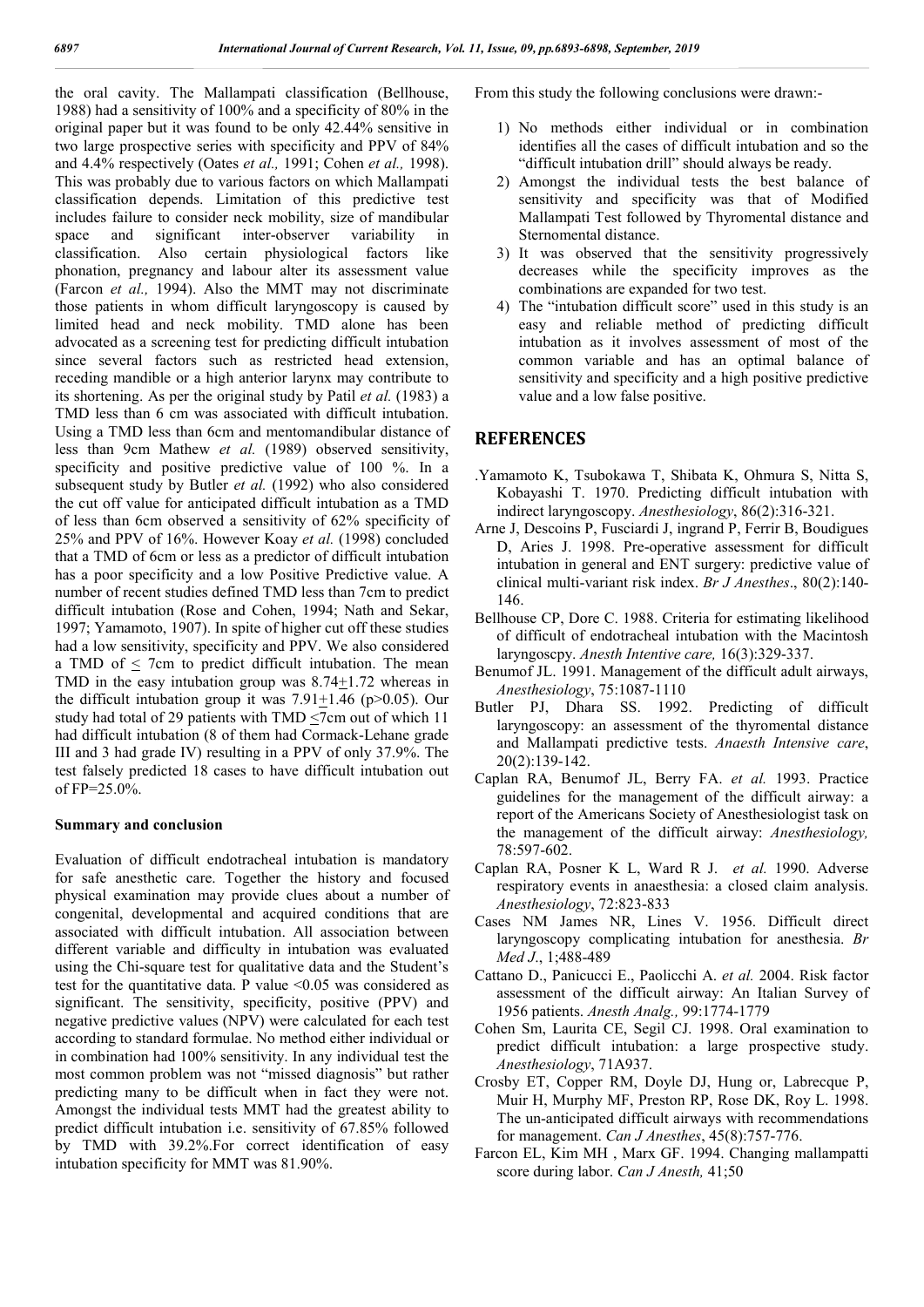the oral cavity. The Mallampati classification (Bellhouse, 1988) had a sensitivity of 100% and a specificity of 80% in the original paper but it was found to be only 42.44% sensitive in two large prospective series with specificity and PPV of 84% and 4.4% respectively (Oates *et al.,* 1991; Cohen *et al.,* 1998). This was probably due to various factors on which Mallampati classification depends. Limitation of this predictive test includes failure to consider neck mobility, size of mandibular space and significant inter-observer variability in classification. Also certain physiological factors like phonation, pregnancy and labour alter its assessment value (Farcon *et al.,* 1994). Also the MMT may not discriminate those patients in whom difficult laryngoscopy is caused by limited head and neck mobility. TMD alone has been advocated as a screening test for predicting difficult intubation since several factors such as restricted head extension, receding mandible or a high anterior larynx may contribute to its shortening. As per the original study by Patil *et al.* (1983) a TMD less than 6 cm was associated with difficult intubation. Using a TMD less than 6cm and mentomandibular distance of less than 9cm Mathew *et al.* (1989) observed sensitivity, specificity and positive predictive value of 100 %. In a subsequent study by Butler *et al.* (1992) who also considered the cut off value for anticipated difficult intubation as a TMD of less than 6cm observed a sensitivity of 62% specificity of 25% and PPV of 16%. However Koay *et al.* (1998) concluded that a TMD of 6cm or less as a predictor of difficult intubation has a poor specificity and a low Positive Predictive value. A number of recent studies defined TMD less than 7cm to predict difficult intubation (Rose and Cohen, 1994; Nath and Sekar, 1997; Yamamoto, 1907). In spite of higher cut off these studies had a low sensitivity, specificity and PPV. We also considered a TMD of  $\leq$  7cm to predict difficult intubation. The mean TMD in the easy intubation group was 8.74+1.72 whereas in the difficult intubation group it was  $7.91+1.46$  (p $>0.05$ ). Our study had total of 29 patients with TMD  $\leq$ 7cm out of which 11 had difficult intubation (8 of them had Cormack-Lehane grade III and 3 had grade IV) resulting in a PPV of only 37.9%. The test falsely predicted 18 cases to have difficult intubation out of FP=25.0%.

# **Summary and conclusion**

Evaluation of difficult endotracheal intubation is mandatory for safe anesthetic care. Together the history and focused physical examination may provide clues about a number of congenital, developmental and acquired conditions that are associated with difficult intubation. All association between different variable and difficulty in intubation was evaluated using the Chi-square test for qualitative data and the Student's test for the quantitative data. P value  $\leq 0.05$  was considered as significant. The sensitivity, specificity, positive (PPV) and negative predictive values (NPV) were calculated for each test according to standard formulae. No method either individual or in combination had 100% sensitivity. In any individual test the most common problem was not "missed diagnosis" but rather predicting many to be difficult when in fact they were not. Amongst the individual tests MMT had the greatest ability to predict difficult intubation i.e. sensitivity of 67.85% followed by TMD with 39.2%.For correct identification of easy intubation specificity for MMT was 81.90%.

From this study the following conclusions were drawn:-

- 1) No methods either individual or in combination identifies all the cases of difficult intubation and so the "difficult intubation drill" should always be ready.
- 2) Amongst the individual tests the best balance of sensitivity and specificity was that of Modified Mallampati Test followed by Thyromental distance and Sternomental distance.
- 3) It was observed that the sensitivity progressively decreases while the specificity improves as the combinations are expanded for two test.
- 4) The "intubation difficult score" used in this study is an easy and reliable method of predicting difficult intubation as it involves assessment of most of the common variable and has an optimal balance of sensitivity and specificity and a high positive predictive value and a low false positive.

## **REFERENCES**

- .Yamamoto K, Tsubokawa T, Shibata K, Ohmura S, Nitta S, Kobayashi T. 1970. Predicting difficult intubation with indirect laryngoscopy. *Anesthesiology*, 86(2):316-321.
- Arne J, Descoins P, Fusciardi J, ingrand P, Ferrir B, Boudigues D, Aries J. 1998. Pre-operative assessment for difficult intubation in general and ENT surgery: predictive value of clinical multi-variant risk index. *Br J Anesthes*., 80(2):140- 146.
- Bellhouse CP, Dore C. 1988. Criteria for estimating likelihood of difficult of endotracheal intubation with the Macintosh laryngoscpy. *Anesth Intentive care,* 16(3):329-337.
- Benumof JL. 1991. Management of the difficult adult airways, *Anesthesiology*, 75:1087-1110
- Butler PJ, Dhara SS. 1992. Predicting of difficult laryngoscopy: an assessment of the thyromental distance and Mallampati predictive tests. *Anaesth Intensive care*, 20(2):139-142.
- Caplan RA, Benumof JL, Berry FA. *et al.* 1993. Practice guidelines for the management of the difficult airway: a report of the Americans Society of Anesthesiologist task on the management of the difficult airway: *Anesthesiology,*  78:597-602.
- Caplan RA, Posner K L, Ward R J. *et al.* 1990. Adverse respiratory events in anaesthesia: a closed claim analysis. *Anesthesiology*, 72:823-833
- Cases NM James NR, Lines V. 1956. Difficult direct laryngoscopy complicating intubation for anesthesia. *Br Med J*., 1;488-489
- Cattano D., Panicucci E., Paolicchi A. *et al.* 2004. Risk factor assessment of the difficult airway: An Italian Survey of 1956 patients. *Anesth Analg.,* 99:1774-1779
- Cohen Sm, Laurita CE, Segil CJ. 1998. Oral examination to predict difficult intubation: a large prospective study. *Anesthesiology*, 71A937.
- Crosby ET, Copper RM, Doyle DJ, Hung or, Labrecque P, Muir H, Murphy MF, Preston RP, Rose DK, Roy L. 1998. The un-anticipated difficult airways with recommendations for management. *Can J Anesthes*, 45(8):757-776.
- Farcon EL, Kim MH , Marx GF. 1994. Changing mallampatti score during labor. *Can J Anesth,* 41;50